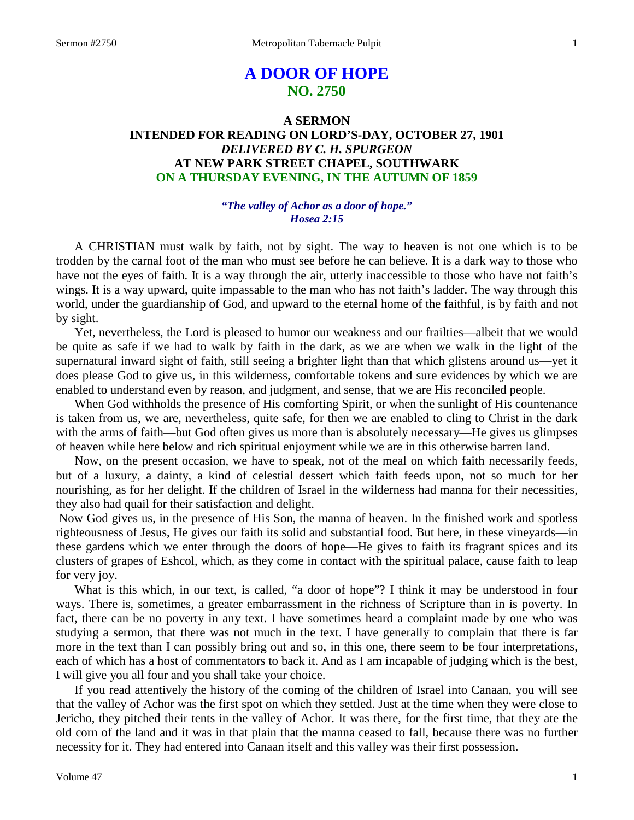# **A DOOR OF HOPE NO. 2750**

# **A SERMON INTENDED FOR READING ON LORD'S-DAY, OCTOBER 27, 1901** *DELIVERED BY C. H. SPURGEON* **AT NEW PARK STREET CHAPEL, SOUTHWARK ON A THURSDAY EVENING, IN THE AUTUMN OF 1859**

# *"The valley of Achor as a door of hope." Hosea 2:15*

A CHRISTIAN must walk by faith, not by sight. The way to heaven is not one which is to be trodden by the carnal foot of the man who must see before he can believe. It is a dark way to those who have not the eyes of faith. It is a way through the air, utterly inaccessible to those who have not faith's wings. It is a way upward, quite impassable to the man who has not faith's ladder. The way through this world, under the guardianship of God, and upward to the eternal home of the faithful, is by faith and not by sight.

Yet, nevertheless, the Lord is pleased to humor our weakness and our frailties—albeit that we would be quite as safe if we had to walk by faith in the dark, as we are when we walk in the light of the supernatural inward sight of faith, still seeing a brighter light than that which glistens around us—yet it does please God to give us, in this wilderness, comfortable tokens and sure evidences by which we are enabled to understand even by reason, and judgment, and sense, that we are His reconciled people.

When God withholds the presence of His comforting Spirit, or when the sunlight of His countenance is taken from us, we are, nevertheless, quite safe, for then we are enabled to cling to Christ in the dark with the arms of faith—but God often gives us more than is absolutely necessary—He gives us glimpses of heaven while here below and rich spiritual enjoyment while we are in this otherwise barren land.

Now, on the present occasion, we have to speak, not of the meal on which faith necessarily feeds, but of a luxury, a dainty, a kind of celestial dessert which faith feeds upon, not so much for her nourishing, as for her delight. If the children of Israel in the wilderness had manna for their necessities, they also had quail for their satisfaction and delight.

Now God gives us, in the presence of His Son, the manna of heaven. In the finished work and spotless righteousness of Jesus, He gives our faith its solid and substantial food. But here, in these vineyards—in these gardens which we enter through the doors of hope—He gives to faith its fragrant spices and its clusters of grapes of Eshcol, which, as they come in contact with the spiritual palace, cause faith to leap for very joy.

What is this which, in our text, is called, "a door of hope"? I think it may be understood in four ways. There is, sometimes, a greater embarrassment in the richness of Scripture than in is poverty. In fact, there can be no poverty in any text. I have sometimes heard a complaint made by one who was studying a sermon, that there was not much in the text. I have generally to complain that there is far more in the text than I can possibly bring out and so, in this one, there seem to be four interpretations, each of which has a host of commentators to back it. And as I am incapable of judging which is the best, I will give you all four and you shall take your choice.

If you read attentively the history of the coming of the children of Israel into Canaan, you will see that the valley of Achor was the first spot on which they settled. Just at the time when they were close to Jericho, they pitched their tents in the valley of Achor. It was there, for the first time, that they ate the old corn of the land and it was in that plain that the manna ceased to fall, because there was no further necessity for it. They had entered into Canaan itself and this valley was their first possession.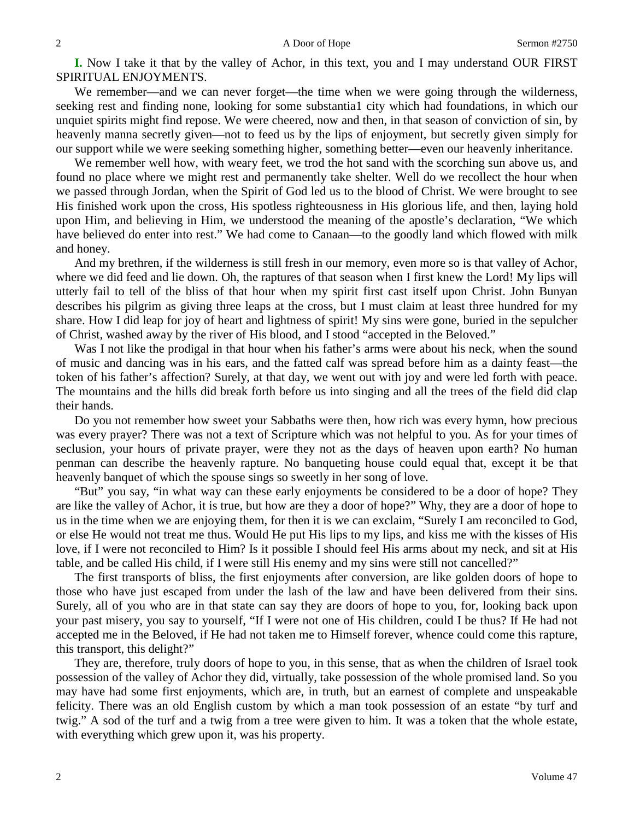**I.** Now I take it that by the valley of Achor, in this text, you and I may understand OUR FIRST SPIRITUAL ENJOYMENTS.

We remember—and we can never forget—the time when we were going through the wilderness, seeking rest and finding none, looking for some substantia1 city which had foundations, in which our unquiet spirits might find repose. We were cheered, now and then, in that season of conviction of sin, by heavenly manna secretly given—not to feed us by the lips of enjoyment, but secretly given simply for our support while we were seeking something higher, something better—even our heavenly inheritance.

We remember well how, with weary feet, we trod the hot sand with the scorching sun above us, and found no place where we might rest and permanently take shelter. Well do we recollect the hour when we passed through Jordan, when the Spirit of God led us to the blood of Christ. We were brought to see His finished work upon the cross, His spotless righteousness in His glorious life, and then, laying hold upon Him, and believing in Him, we understood the meaning of the apostle's declaration, "We which have believed do enter into rest." We had come to Canaan—to the goodly land which flowed with milk and honey.

And my brethren, if the wilderness is still fresh in our memory, even more so is that valley of Achor, where we did feed and lie down. Oh, the raptures of that season when I first knew the Lord! My lips will utterly fail to tell of the bliss of that hour when my spirit first cast itself upon Christ. John Bunyan describes his pilgrim as giving three leaps at the cross, but I must claim at least three hundred for my share. How I did leap for joy of heart and lightness of spirit! My sins were gone, buried in the sepulcher of Christ, washed away by the river of His blood, and I stood "accepted in the Beloved."

Was I not like the prodigal in that hour when his father's arms were about his neck, when the sound of music and dancing was in his ears, and the fatted calf was spread before him as a dainty feast—the token of his father's affection? Surely, at that day, we went out with joy and were led forth with peace. The mountains and the hills did break forth before us into singing and all the trees of the field did clap their hands.

Do you not remember how sweet your Sabbaths were then, how rich was every hymn, how precious was every prayer? There was not a text of Scripture which was not helpful to you. As for your times of seclusion, your hours of private prayer, were they not as the days of heaven upon earth? No human penman can describe the heavenly rapture. No banqueting house could equal that, except it be that heavenly banquet of which the spouse sings so sweetly in her song of love.

"But" you say, "in what way can these early enjoyments be considered to be a door of hope? They are like the valley of Achor, it is true, but how are they a door of hope?" Why, they are a door of hope to us in the time when we are enjoying them, for then it is we can exclaim, "Surely I am reconciled to God, or else He would not treat me thus. Would He put His lips to my lips, and kiss me with the kisses of His love, if I were not reconciled to Him? Is it possible I should feel His arms about my neck, and sit at His table, and be called His child, if I were still His enemy and my sins were still not cancelled?"

The first transports of bliss, the first enjoyments after conversion, are like golden doors of hope to those who have just escaped from under the lash of the law and have been delivered from their sins. Surely, all of you who are in that state can say they are doors of hope to you, for, looking back upon your past misery, you say to yourself, "If I were not one of His children, could I be thus? If He had not accepted me in the Beloved, if He had not taken me to Himself forever, whence could come this rapture, this transport, this delight?"

They are, therefore, truly doors of hope to you, in this sense, that as when the children of Israel took possession of the valley of Achor they did, virtually, take possession of the whole promised land. So you may have had some first enjoyments, which are, in truth, but an earnest of complete and unspeakable felicity. There was an old English custom by which a man took possession of an estate "by turf and twig." A sod of the turf and a twig from a tree were given to him. It was a token that the whole estate, with everything which grew upon it, was his property.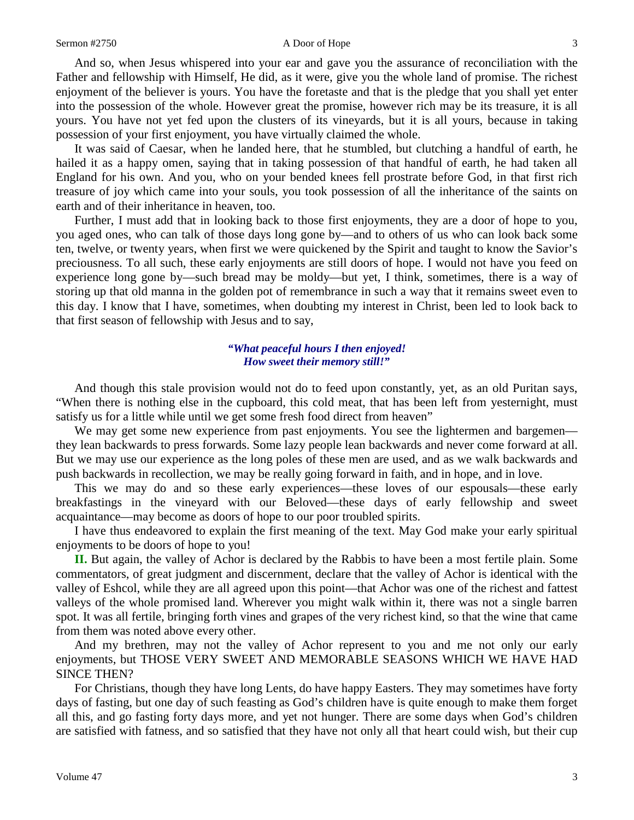#### Sermon #2750 A Door of Hope 3

And so, when Jesus whispered into your ear and gave you the assurance of reconciliation with the Father and fellowship with Himself, He did, as it were, give you the whole land of promise. The richest enjoyment of the believer is yours. You have the foretaste and that is the pledge that you shall yet enter into the possession of the whole. However great the promise, however rich may be its treasure, it is all yours. You have not yet fed upon the clusters of its vineyards, but it is all yours, because in taking possession of your first enjoyment, you have virtually claimed the whole.

It was said of Caesar, when he landed here, that he stumbled, but clutching a handful of earth, he hailed it as a happy omen, saying that in taking possession of that handful of earth, he had taken all England for his own. And you, who on your bended knees fell prostrate before God, in that first rich treasure of joy which came into your souls, you took possession of all the inheritance of the saints on earth and of their inheritance in heaven, too.

Further, I must add that in looking back to those first enjoyments, they are a door of hope to you, you aged ones, who can talk of those days long gone by—and to others of us who can look back some ten, twelve, or twenty years, when first we were quickened by the Spirit and taught to know the Savior's preciousness. To all such, these early enjoyments are still doors of hope. I would not have you feed on experience long gone by—such bread may be moldy—but yet, I think, sometimes, there is a way of storing up that old manna in the golden pot of remembrance in such a way that it remains sweet even to this day. I know that I have, sometimes, when doubting my interest in Christ, been led to look back to that first season of fellowship with Jesus and to say,

### *"What peaceful hours I then enjoyed! How sweet their memory still!"*

And though this stale provision would not do to feed upon constantly, yet, as an old Puritan says, "When there is nothing else in the cupboard, this cold meat, that has been left from yesternight, must satisfy us for a little while until we get some fresh food direct from heaven"

We may get some new experience from past enjoyments. You see the lightermen and bargemen they lean backwards to press forwards. Some lazy people lean backwards and never come forward at all. But we may use our experience as the long poles of these men are used, and as we walk backwards and push backwards in recollection, we may be really going forward in faith, and in hope, and in love.

This we may do and so these early experiences—these loves of our espousals—these early breakfastings in the vineyard with our Beloved—these days of early fellowship and sweet acquaintance—may become as doors of hope to our poor troubled spirits.

I have thus endeavored to explain the first meaning of the text. May God make your early spiritual enjoyments to be doors of hope to you!

**II.** But again, the valley of Achor is declared by the Rabbis to have been a most fertile plain. Some commentators, of great judgment and discernment, declare that the valley of Achor is identical with the valley of Eshcol, while they are all agreed upon this point—that Achor was one of the richest and fattest valleys of the whole promised land. Wherever you might walk within it, there was not a single barren spot. It was all fertile, bringing forth vines and grapes of the very richest kind, so that the wine that came from them was noted above every other.

And my brethren, may not the valley of Achor represent to you and me not only our early enjoyments, but THOSE VERY SWEET AND MEMORABLE SEASONS WHICH WE HAVE HAD SINCE THEN?

For Christians, though they have long Lents, do have happy Easters. They may sometimes have forty days of fasting, but one day of such feasting as God's children have is quite enough to make them forget all this, and go fasting forty days more, and yet not hunger. There are some days when God's children are satisfied with fatness, and so satisfied that they have not only all that heart could wish, but their cup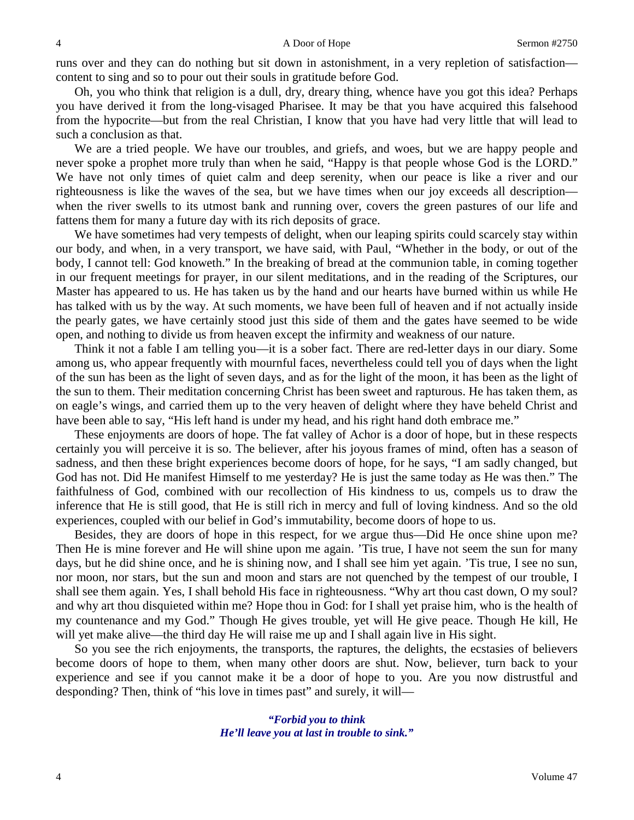runs over and they can do nothing but sit down in astonishment, in a very repletion of satisfaction content to sing and so to pour out their souls in gratitude before God.

Oh, you who think that religion is a dull, dry, dreary thing, whence have you got this idea? Perhaps you have derived it from the long-visaged Pharisee. It may be that you have acquired this falsehood from the hypocrite—but from the real Christian, I know that you have had very little that will lead to such a conclusion as that.

We are a tried people. We have our troubles, and griefs, and woes, but we are happy people and never spoke a prophet more truly than when he said, "Happy is that people whose God is the LORD." We have not only times of quiet calm and deep serenity, when our peace is like a river and our righteousness is like the waves of the sea, but we have times when our joy exceeds all description when the river swells to its utmost bank and running over, covers the green pastures of our life and fattens them for many a future day with its rich deposits of grace.

We have sometimes had very tempests of delight, when our leaping spirits could scarcely stay within our body, and when, in a very transport, we have said, with Paul, "Whether in the body, or out of the body, I cannot tell: God knoweth." In the breaking of bread at the communion table, in coming together in our frequent meetings for prayer, in our silent meditations, and in the reading of the Scriptures, our Master has appeared to us. He has taken us by the hand and our hearts have burned within us while He has talked with us by the way. At such moments, we have been full of heaven and if not actually inside the pearly gates, we have certainly stood just this side of them and the gates have seemed to be wide open, and nothing to divide us from heaven except the infirmity and weakness of our nature.

Think it not a fable I am telling you—it is a sober fact. There are red-letter days in our diary. Some among us, who appear frequently with mournful faces, nevertheless could tell you of days when the light of the sun has been as the light of seven days, and as for the light of the moon, it has been as the light of the sun to them. Their meditation concerning Christ has been sweet and rapturous. He has taken them, as on eagle's wings, and carried them up to the very heaven of delight where they have beheld Christ and have been able to say, "His left hand is under my head, and his right hand doth embrace me."

These enjoyments are doors of hope. The fat valley of Achor is a door of hope, but in these respects certainly you will perceive it is so. The believer, after his joyous frames of mind, often has a season of sadness, and then these bright experiences become doors of hope, for he says, "I am sadly changed, but God has not. Did He manifest Himself to me yesterday? He is just the same today as He was then." The faithfulness of God, combined with our recollection of His kindness to us, compels us to draw the inference that He is still good, that He is still rich in mercy and full of loving kindness. And so the old experiences, coupled with our belief in God's immutability, become doors of hope to us.

Besides, they are doors of hope in this respect, for we argue thus—Did He once shine upon me? Then He is mine forever and He will shine upon me again. 'Tis true, I have not seem the sun for many days, but he did shine once, and he is shining now, and I shall see him yet again. 'Tis true, I see no sun, nor moon, nor stars, but the sun and moon and stars are not quenched by the tempest of our trouble, I shall see them again. Yes, I shall behold His face in righteousness. "Why art thou cast down, O my soul? and why art thou disquieted within me? Hope thou in God: for I shall yet praise him, who is the health of my countenance and my God." Though He gives trouble, yet will He give peace. Though He kill, He will yet make alive—the third day He will raise me up and I shall again live in His sight.

So you see the rich enjoyments, the transports, the raptures, the delights, the ecstasies of believers become doors of hope to them, when many other doors are shut. Now, believer, turn back to your experience and see if you cannot make it be a door of hope to you. Are you now distrustful and desponding? Then, think of "his love in times past" and surely, it will—

> *"Forbid you to think He'll leave you at last in trouble to sink."*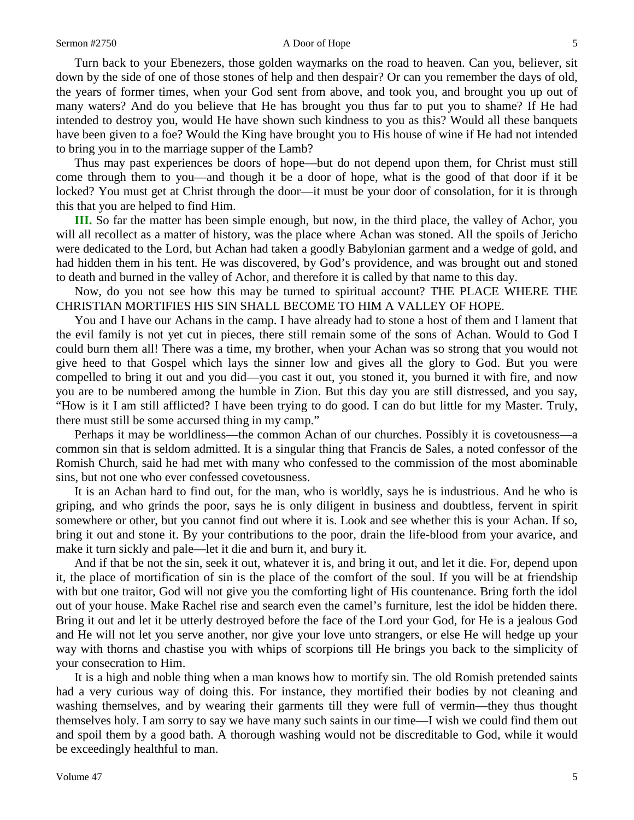#### Sermon #2750 A Door of Hope 5

Turn back to your Ebenezers, those golden waymarks on the road to heaven. Can you, believer, sit down by the side of one of those stones of help and then despair? Or can you remember the days of old, the years of former times, when your God sent from above, and took you, and brought you up out of many waters? And do you believe that He has brought you thus far to put you to shame? If He had intended to destroy you, would He have shown such kindness to you as this? Would all these banquets have been given to a foe? Would the King have brought you to His house of wine if He had not intended to bring you in to the marriage supper of the Lamb?

Thus may past experiences be doors of hope—but do not depend upon them, for Christ must still come through them to you—and though it be a door of hope, what is the good of that door if it be locked? You must get at Christ through the door—it must be your door of consolation, for it is through this that you are helped to find Him.

**III.** So far the matter has been simple enough, but now, in the third place, the valley of Achor, you will all recollect as a matter of history, was the place where Achan was stoned. All the spoils of Jericho were dedicated to the Lord, but Achan had taken a goodly Babylonian garment and a wedge of gold, and had hidden them in his tent. He was discovered, by God's providence, and was brought out and stoned to death and burned in the valley of Achor, and therefore it is called by that name to this day.

Now, do you not see how this may be turned to spiritual account? THE PLACE WHERE THE CHRISTIAN MORTIFIES HIS SIN SHALL BECOME TO HIM A VALLEY OF HOPE.

You and I have our Achans in the camp. I have already had to stone a host of them and I lament that the evil family is not yet cut in pieces, there still remain some of the sons of Achan. Would to God I could burn them all! There was a time, my brother, when your Achan was so strong that you would not give heed to that Gospel which lays the sinner low and gives all the glory to God. But you were compelled to bring it out and you did—you cast it out, you stoned it, you burned it with fire, and now you are to be numbered among the humble in Zion. But this day you are still distressed, and you say, "How is it I am still afflicted? I have been trying to do good. I can do but little for my Master. Truly, there must still be some accursed thing in my camp."

Perhaps it may be worldliness—the common Achan of our churches. Possibly it is covetousness—a common sin that is seldom admitted. It is a singular thing that Francis de Sales, a noted confessor of the Romish Church, said he had met with many who confessed to the commission of the most abominable sins, but not one who ever confessed covetousness.

It is an Achan hard to find out, for the man, who is worldly, says he is industrious. And he who is griping, and who grinds the poor, says he is only diligent in business and doubtless, fervent in spirit somewhere or other, but you cannot find out where it is. Look and see whether this is your Achan. If so, bring it out and stone it. By your contributions to the poor, drain the life-blood from your avarice, and make it turn sickly and pale—let it die and burn it, and bury it.

And if that be not the sin, seek it out, whatever it is, and bring it out, and let it die. For, depend upon it, the place of mortification of sin is the place of the comfort of the soul. If you will be at friendship with but one traitor, God will not give you the comforting light of His countenance. Bring forth the idol out of your house. Make Rachel rise and search even the camel's furniture, lest the idol be hidden there. Bring it out and let it be utterly destroyed before the face of the Lord your God, for He is a jealous God and He will not let you serve another, nor give your love unto strangers, or else He will hedge up your way with thorns and chastise you with whips of scorpions till He brings you back to the simplicity of your consecration to Him.

It is a high and noble thing when a man knows how to mortify sin. The old Romish pretended saints had a very curious way of doing this. For instance, they mortified their bodies by not cleaning and washing themselves, and by wearing their garments till they were full of vermin—they thus thought themselves holy. I am sorry to say we have many such saints in our time—I wish we could find them out and spoil them by a good bath. A thorough washing would not be discreditable to God, while it would be exceedingly healthful to man.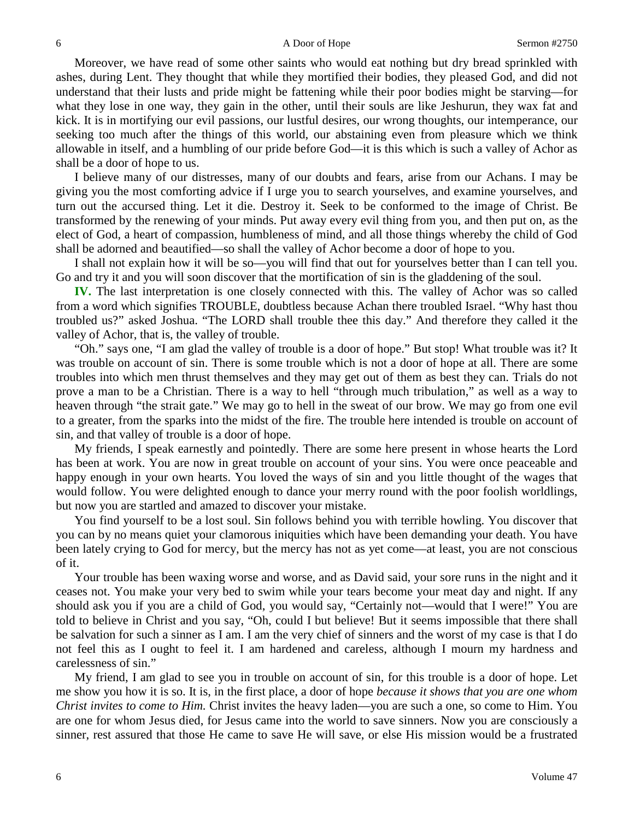Moreover, we have read of some other saints who would eat nothing but dry bread sprinkled with ashes, during Lent. They thought that while they mortified their bodies, they pleased God, and did not understand that their lusts and pride might be fattening while their poor bodies might be starving—for what they lose in one way, they gain in the other, until their souls are like Jeshurun, they wax fat and kick. It is in mortifying our evil passions, our lustful desires, our wrong thoughts, our intemperance, our seeking too much after the things of this world, our abstaining even from pleasure which we think allowable in itself, and a humbling of our pride before God—it is this which is such a valley of Achor as shall be a door of hope to us.

I believe many of our distresses, many of our doubts and fears, arise from our Achans. I may be giving you the most comforting advice if I urge you to search yourselves, and examine yourselves, and turn out the accursed thing. Let it die. Destroy it. Seek to be conformed to the image of Christ. Be transformed by the renewing of your minds. Put away every evil thing from you, and then put on, as the elect of God, a heart of compassion, humbleness of mind, and all those things whereby the child of God shall be adorned and beautified—so shall the valley of Achor become a door of hope to you.

I shall not explain how it will be so—you will find that out for yourselves better than I can tell you. Go and try it and you will soon discover that the mortification of sin is the gladdening of the soul.

**IV.** The last interpretation is one closely connected with this. The valley of Achor was so called from a word which signifies TROUBLE, doubtless because Achan there troubled Israel. "Why hast thou troubled us?" asked Joshua. "The LORD shall trouble thee this day." And therefore they called it the valley of Achor, that is, the valley of trouble.

"Oh." says one, "I am glad the valley of trouble is a door of hope." But stop! What trouble was it? It was trouble on account of sin. There is some trouble which is not a door of hope at all. There are some troubles into which men thrust themselves and they may get out of them as best they can. Trials do not prove a man to be a Christian. There is a way to hell "through much tribulation," as well as a way to heaven through "the strait gate." We may go to hell in the sweat of our brow. We may go from one evil to a greater, from the sparks into the midst of the fire. The trouble here intended is trouble on account of sin, and that valley of trouble is a door of hope.

My friends, I speak earnestly and pointedly. There are some here present in whose hearts the Lord has been at work. You are now in great trouble on account of your sins. You were once peaceable and happy enough in your own hearts. You loved the ways of sin and you little thought of the wages that would follow. You were delighted enough to dance your merry round with the poor foolish worldlings, but now you are startled and amazed to discover your mistake.

You find yourself to be a lost soul. Sin follows behind you with terrible howling. You discover that you can by no means quiet your clamorous iniquities which have been demanding your death. You have been lately crying to God for mercy, but the mercy has not as yet come—at least, you are not conscious of it.

Your trouble has been waxing worse and worse, and as David said, your sore runs in the night and it ceases not. You make your very bed to swim while your tears become your meat day and night. If any should ask you if you are a child of God, you would say, "Certainly not—would that I were!" You are told to believe in Christ and you say, "Oh, could I but believe! But it seems impossible that there shall be salvation for such a sinner as I am. I am the very chief of sinners and the worst of my case is that I do not feel this as I ought to feel it. I am hardened and careless, although I mourn my hardness and carelessness of sin."

My friend, I am glad to see you in trouble on account of sin, for this trouble is a door of hope. Let me show you how it is so. It is, in the first place, a door of hope *because it shows that you are one whom Christ invites to come to Him.* Christ invites the heavy laden—you are such a one, so come to Him. You are one for whom Jesus died, for Jesus came into the world to save sinners. Now you are consciously a sinner, rest assured that those He came to save He will save, or else His mission would be a frustrated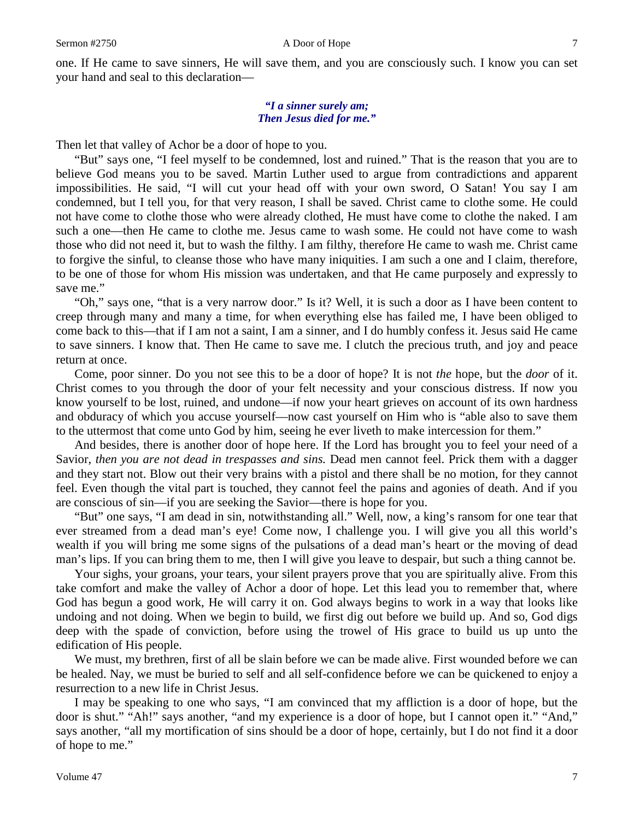#### Sermon #2750 A Door of Hope 7

one. If He came to save sinners, He will save them, and you are consciously such. I know you can set your hand and seal to this declaration—

### *"I a sinner surely am; Then Jesus died for me."*

Then let that valley of Achor be a door of hope to you.

"But" says one, "I feel myself to be condemned, lost and ruined." That is the reason that you are to believe God means you to be saved. Martin Luther used to argue from contradictions and apparent impossibilities. He said, "I will cut your head off with your own sword, O Satan! You say I am condemned, but I tell you, for that very reason, I shall be saved. Christ came to clothe some. He could not have come to clothe those who were already clothed, He must have come to clothe the naked. I am such a one—then He came to clothe me. Jesus came to wash some. He could not have come to wash those who did not need it, but to wash the filthy. I am filthy, therefore He came to wash me. Christ came to forgive the sinful, to cleanse those who have many iniquities. I am such a one and I claim, therefore, to be one of those for whom His mission was undertaken, and that He came purposely and expressly to save me."

"Oh," says one, "that is a very narrow door." Is it? Well, it is such a door as I have been content to creep through many and many a time, for when everything else has failed me, I have been obliged to come back to this—that if I am not a saint, I am a sinner, and I do humbly confess it. Jesus said He came to save sinners. I know that. Then He came to save me. I clutch the precious truth, and joy and peace return at once.

Come, poor sinner. Do you not see this to be a door of hope? It is not *the* hope, but the *door* of it. Christ comes to you through the door of your felt necessity and your conscious distress. If now you know yourself to be lost, ruined, and undone—if now your heart grieves on account of its own hardness and obduracy of which you accuse yourself—now cast yourself on Him who is "able also to save them to the uttermost that come unto God by him, seeing he ever liveth to make intercession for them."

And besides, there is another door of hope here. If the Lord has brought you to feel your need of a Savior, *then you are not dead in trespasses and sins.* Dead men cannot feel. Prick them with a dagger and they start not. Blow out their very brains with a pistol and there shall be no motion, for they cannot feel. Even though the vital part is touched, they cannot feel the pains and agonies of death. And if you are conscious of sin—if you are seeking the Savior—there is hope for you.

"But" one says, "I am dead in sin, notwithstanding all." Well, now, a king's ransom for one tear that ever streamed from a dead man's eye! Come now, I challenge you. I will give you all this world's wealth if you will bring me some signs of the pulsations of a dead man's heart or the moving of dead man's lips. If you can bring them to me, then I will give you leave to despair, but such a thing cannot be.

Your sighs, your groans, your tears, your silent prayers prove that you are spiritually alive. From this take comfort and make the valley of Achor a door of hope. Let this lead you to remember that, where God has begun a good work, He will carry it on. God always begins to work in a way that looks like undoing and not doing. When we begin to build, we first dig out before we build up. And so, God digs deep with the spade of conviction, before using the trowel of His grace to build us up unto the edification of His people.

We must, my brethren, first of all be slain before we can be made alive. First wounded before we can be healed. Nay, we must be buried to self and all self-confidence before we can be quickened to enjoy a resurrection to a new life in Christ Jesus.

I may be speaking to one who says, "I am convinced that my affliction is a door of hope, but the door is shut." "Ah!" says another, "and my experience is a door of hope, but I cannot open it." "And," says another, "all my mortification of sins should be a door of hope, certainly, but I do not find it a door of hope to me."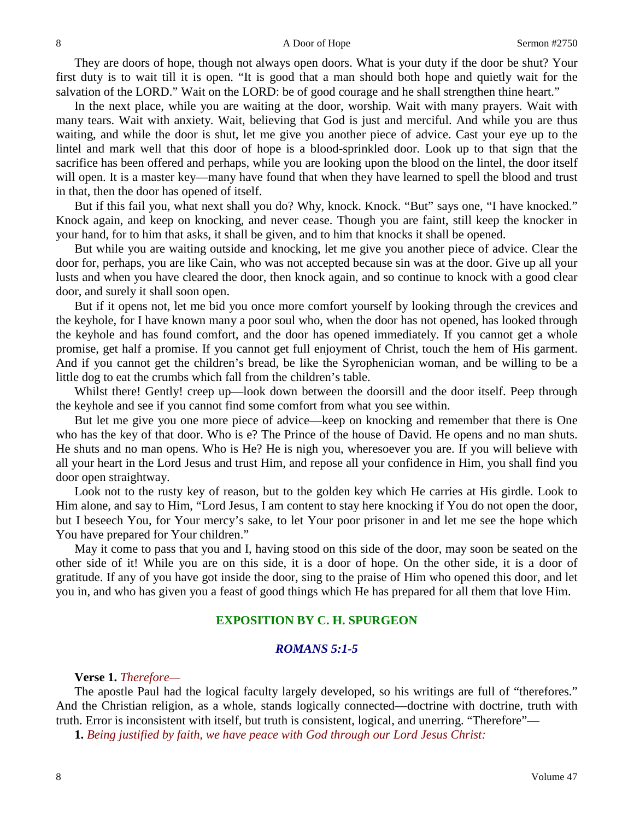They are doors of hope, though not always open doors. What is your duty if the door be shut? Your first duty is to wait till it is open. "It is good that a man should both hope and quietly wait for the salvation of the LORD." Wait on the LORD: be of good courage and he shall strengthen thine heart."

In the next place, while you are waiting at the door, worship. Wait with many prayers. Wait with many tears. Wait with anxiety. Wait, believing that God is just and merciful. And while you are thus waiting, and while the door is shut, let me give you another piece of advice. Cast your eye up to the lintel and mark well that this door of hope is a blood-sprinkled door. Look up to that sign that the sacrifice has been offered and perhaps, while you are looking upon the blood on the lintel, the door itself will open. It is a master key—many have found that when they have learned to spell the blood and trust in that, then the door has opened of itself.

But if this fail you, what next shall you do? Why, knock. Knock. "But" says one, "I have knocked." Knock again, and keep on knocking, and never cease. Though you are faint, still keep the knocker in your hand, for to him that asks, it shall be given, and to him that knocks it shall be opened.

But while you are waiting outside and knocking, let me give you another piece of advice. Clear the door for, perhaps, you are like Cain, who was not accepted because sin was at the door. Give up all your lusts and when you have cleared the door, then knock again, and so continue to knock with a good clear door, and surely it shall soon open.

But if it opens not, let me bid you once more comfort yourself by looking through the crevices and the keyhole, for I have known many a poor soul who, when the door has not opened, has looked through the keyhole and has found comfort, and the door has opened immediately. If you cannot get a whole promise, get half a promise. If you cannot get full enjoyment of Christ, touch the hem of His garment. And if you cannot get the children's bread, be like the Syrophenician woman, and be willing to be a little dog to eat the crumbs which fall from the children's table.

Whilst there! Gently! creep up—look down between the doorsill and the door itself. Peep through the keyhole and see if you cannot find some comfort from what you see within.

But let me give you one more piece of advice—keep on knocking and remember that there is One who has the key of that door. Who is e? The Prince of the house of David. He opens and no man shuts. He shuts and no man opens. Who is He? He is nigh you, wheresoever you are. If you will believe with all your heart in the Lord Jesus and trust Him, and repose all your confidence in Him, you shall find you door open straightway.

Look not to the rusty key of reason, but to the golden key which He carries at His girdle. Look to Him alone, and say to Him, "Lord Jesus, I am content to stay here knocking if You do not open the door, but I beseech You, for Your mercy's sake, to let Your poor prisoner in and let me see the hope which You have prepared for Your children."

May it come to pass that you and I, having stood on this side of the door, may soon be seated on the other side of it! While you are on this side, it is a door of hope. On the other side, it is a door of gratitude. If any of you have got inside the door, sing to the praise of Him who opened this door, and let you in, and who has given you a feast of good things which He has prepared for all them that love Him.

## **EXPOSITION BY C. H. SPURGEON**

# *ROMANS 5:1-5*

**Verse 1.** *Therefore—*

The apostle Paul had the logical faculty largely developed, so his writings are full of "therefores." And the Christian religion, as a whole, stands logically connected—doctrine with doctrine, truth with truth. Error is inconsistent with itself, but truth is consistent, logical, and unerring. "Therefore"—

**1.** *Being justified by faith, we have peace with God through our Lord Jesus Christ:*